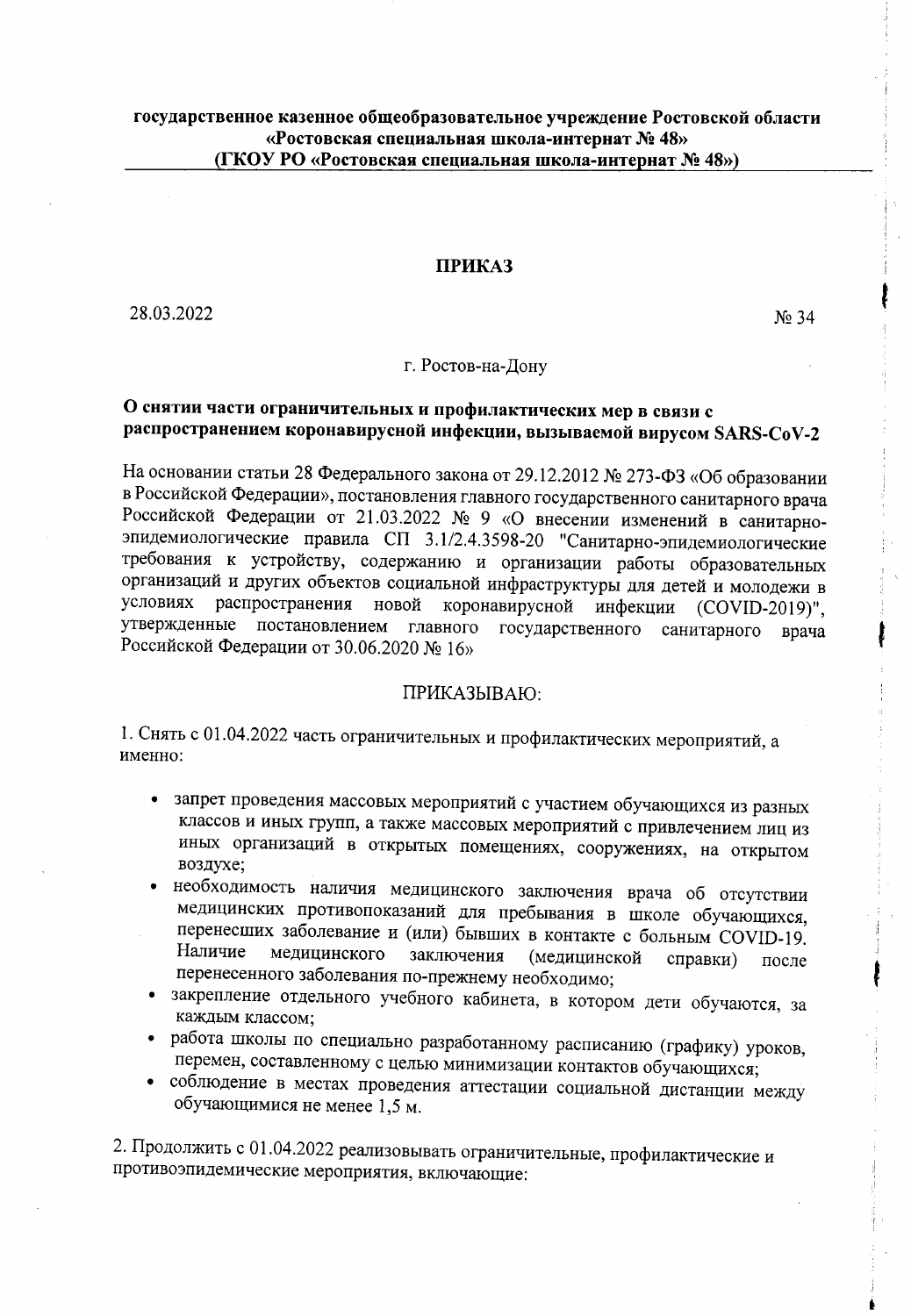## **ПРИКАЗ**

28.03.2022

 $N<sub>2</sub>$  34

## г. Ростов-на-Дону

## О снятии части ограничительных и профилактических мер в связи с распространением коронавирусной инфекции, вызываемой вирусом SARS-CoV-2

На основании статьи 28 Федерального закона от 29.12.2012 № 273-ФЗ «Об образовании в Российской Федерации», постановления главного государственного санитарного врача Российской Федерации от 21.03.2022 № 9 «О внесении изменений в санитарноэпидемиологические правила СП 3.1/2.4.3598-20 "Санитарно-эпидемиологические требования к устройству, содержанию и организации работы образовательных организаций и других объектов социальной инфраструктуры для детей и молодежи в условиях распространения новой коронавирусной инфекции (COVID-2019)", утвержденные постановлением главного государственного санитарного врача Российской Федерации от 30.06.2020 № 16»

## ПРИКАЗЫВАЮ:

1. Снять с 01.04.2022 часть ограничительных и профилактических мероприятий, а именно:

- запрет проведения массовых мероприятий с участием обучающихся из разных классов и иных групп, а также массовых мероприятий с привлечением лиц из иных организаций в открытых помещениях, сооружениях, на открытом воздухе:
- необходимость наличия медицинского заключения врача об отсутствии медицинских противопоказаний для пребывания в школе обучающихся, перенесших заболевание и (или) бывших в контакте с больным COVID-19. Наличие медицинского заключения (медицинской справки) после перенесенного заболевания по-прежнему необходимо;
- закрепление отдельного учебного кабинета, в котором дети обучаются, за каждым классом;
- работа школы по специально разработанному расписанию (графику) уроков, перемен, составленному с целью минимизации контактов обучающихся;
- соблюдение в местах проведения аттестации социальной дистанции между обучающимися не менее 1,5 м.

2. Продолжить с 01.04.2022 реализовывать ограничительные, профилактические и противоэпидемические мероприятия, включающие: